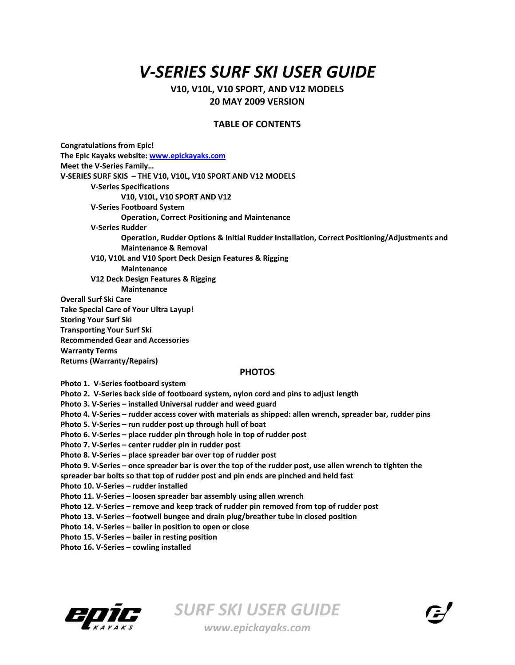# *V‐SERIES SURF SKI USER GUIDE*

**V10, V10L, V10 SPORT, AND V12 MODELS 20 MAY 2009 VERSION**

#### **TABLE OF CONTENTS**

**Congratulations from Epic! The Epic Kayaks website: www.epickayaks.com Meet the V‐Series Family… V‐SERIES SURF SKIS – THE V10, V10L, V10 SPORT AND V12 MODELS V‐Series Specifications V10, V10L, V10 SPORT AND V12 V‐Series Footboard System Operation, Correct Positioning and Maintenance V‐Series Rudder Operation, Rudder Options & Initial Rudder Installation, Correct Positioning/Adjustments and Maintenance & Removal V10, V10L and V10 Sport Deck Design Features & Rigging Maintenance V12 Deck Design Features & Rigging Maintenance Overall Surf Ski Care Take Special Care of Your Ultra Layup! Storing Your Surf Ski Transporting Your Surf Ski Recommended Gear and Accessories Warranty Terms Returns (Warranty/Repairs) PHOTOS Photo 1. V‐Series footboard system Photo 2. V‐Series back side of footboard system, nylon cord and pins to adjust length Photo 3. V‐Series – installed Universal rudder and weed guard** Photo 4. V-Series - rudder access cover with materials as shipped: allen wrench, spreader bar, rudder pins **Photo 5. V‐Series – run rudder post up through hull of boat Photo 6. V‐Series – place rudder pin through hole in top of rudder post Photo 7. V‐Series – center rudder pin in rudder post Photo 8. V‐Series – place spreader bar over top of rudder post** Photo 9. V-Series - once spreader bar is over the top of the rudder post, use allen wrench to tighten the **spreader bar bolts so that top of rudder post and pin ends are pinched and held fast Photo 10. V‐Series – rudder installed Photo 11. V‐Series – loosen spreader bar assembly using allen wrench Photo 12. V‐Series – remove and keep track of rudder pin removed from top of rudder post Photo 13. V‐Series – footwell bungee and drain plug/breather tube in closed position Photo 14. V‐Series – bailer in position to open or close Photo 15. V‐Series – bailer in resting position Photo 16. V‐Series – cowling installed**



*SURF SKI USER GUIDE*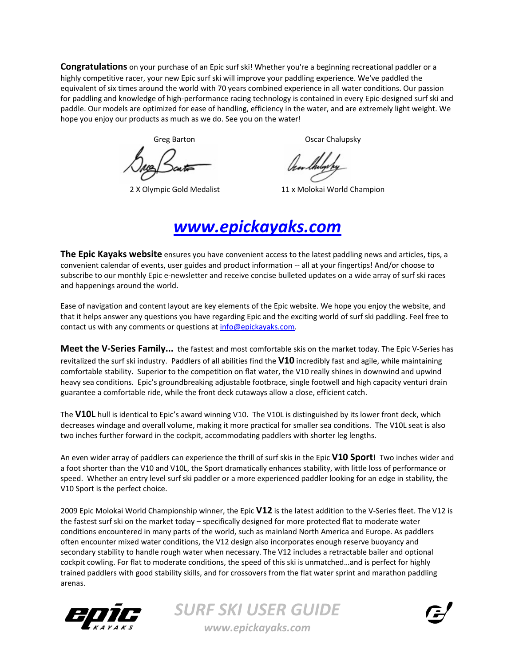**Congratulations** on your purchase of an Epic surf ski! Whether you're a beginning recreational paddler or a highly competitive racer, your new Epic surf ski will improve your paddling experience. We've paddled the equivalent of six times around the world with 70 years combined experience in all water conditions. Our passion for paddling and knowledge of high‐performance racing technology is contained in every Epic‐designed surf ski and paddle. Our models are optimized for ease of handling, efficiency in the water, and are extremely light weight. We hope you enjoy our products as much as we do. See you on the water!

Greg Barton **Called Barton** Chalupsky

2 X Olympic Gold Medalist 2 X Olympic Gold Medalist 2 X Olympic Gold Medalist

# *www.epickayaks.com*

**The Epic Kayaks website** ensures you have convenient access to the latest paddling news and articles, tips, a convenient calendar of events, user guides and product information ‐‐ all at your fingertips! And/or choose to subscribe to our monthly Epic e‐newsletter and receive concise bulleted updates on a wide array of surf ski races and happenings around the world.

Ease of navigation and content layout are key elements of the Epic website. We hope you enjoy the website, and that it helps answer any questions you have regarding Epic and the exciting world of surf ski paddling. Feel free to contact us with any comments or questions at info@epickayaks.com.

**Meet the V‐Series Family...** the fastest and most comfortable skis on the market today. The Epic V‐Series has revitalized the surf ski industry. Paddlers of all abilities find the **V10** incredibly fast and agile, while maintaining comfortable stability. Superior to the competition on flat water, the V10 really shines in downwind and upwind heavy sea conditions. Epic's groundbreaking adjustable footbrace, single footwell and high capacity venturi drain guarantee a comfortable ride, while the front deck cutaways allow a close, efficient catch.

The **V10L** hull is identical to Epic's award winning V10. The V10L is distinguished by its lower front deck, which decreases windage and overall volume, making it more practical for smaller sea conditions. The V10L seat is also two inches further forward in the cockpit, accommodating paddlers with shorter leg lengths.

An even wider array of paddlers can experience the thrill of surf skis in the Epic **V10 Sport**! Two inches wider and a foot shorter than the V10 and V10L, the Sport dramatically enhances stability, with little loss of performance or speed. Whether an entry level surf ski paddler or a more experienced paddler looking for an edge in stability, the V10 Sport is the perfect choice.

2009 Epic Molokai World Championship winner, the Epic **V12** is the latest addition to the V‐Series fleet. The V12 is the fastest surf ski on the market today – specifically designed for more protected flat to moderate water conditions encountered in many parts of the world, such as mainland North America and Europe. As paddlers often encounter mixed water conditions, the V12 design also incorporates enough reserve buoyancy and secondary stability to handle rough water when necessary. The V12 includes a retractable bailer and optional cockpit cowling. For flat to moderate conditions, the speed of this ski is unmatched…and is perfect for highly trained paddlers with good stability skills, and for crossovers from the flat water sprint and marathon paddling arenas.



*SURF SKI USER GUIDE*

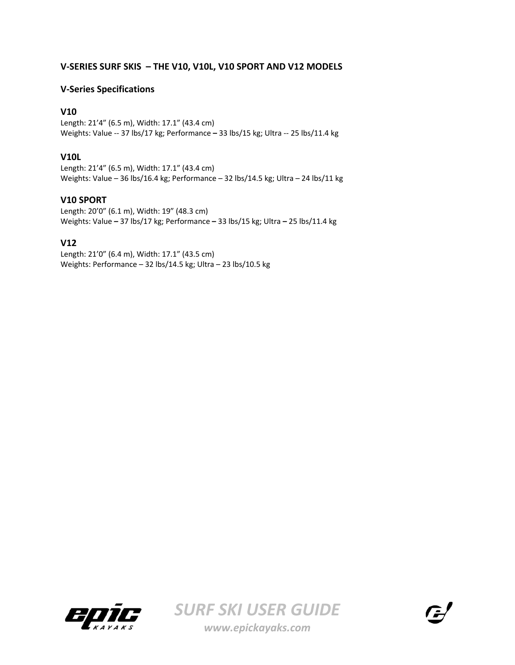# **V‐SERIES SURF SKIS – THE V10, V10L, V10 SPORT AND V12 MODELS**

#### **V‐Series Specifications**

#### **V10**

Length: 21'4" (6.5 m), Width: 17.1" (43.4 cm) Weights: Value ‐‐ 37 lbs/17 kg; Performance **–** 33 lbs/15 kg; Ultra ‐‐ 25 lbs/11.4 kg

#### **V10L**

Length: 21'4" (6.5 m), Width: 17.1" (43.4 cm) Weights: Value – 36 lbs/16.4 kg; Performance – 32 lbs/14.5 kg; Ultra – 24 lbs/11 kg

#### **V10 SPORT**

Length: 20'0" (6.1 m), Width: 19" (48.3 cm) Weights: Value **–** 37 lbs/17 kg; Performance **–** 33 lbs/15 kg; Ultra **–** 25 lbs/11.4 kg

#### **V12**

Length: 21'0" (6.4 m), Width: 17.1" (43.5 cm) Weights: Performance – 32 lbs/14.5 kg; Ultra – 23 lbs/10.5 kg





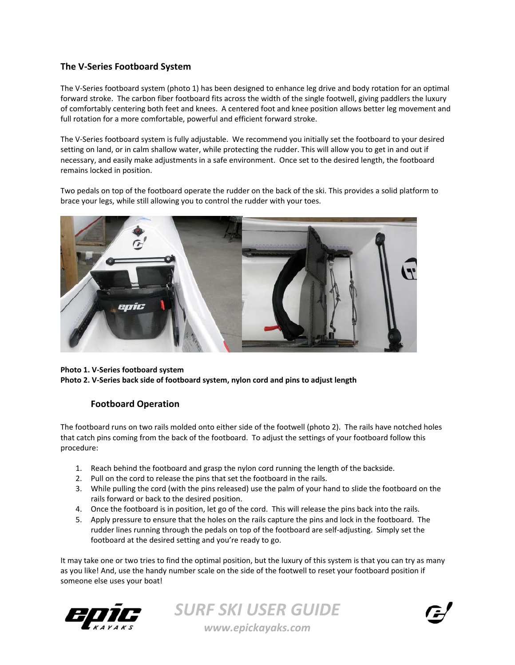# **The V‐Series Footboard System**

The V-Series footboard system (photo 1) has been designed to enhance leg drive and body rotation for an optimal forward stroke. The carbon fiber footboard fits across the width of the single footwell, giving paddlers the luxury of comfortably centering both feet and knees. A centered foot and knee position allows better leg movement and full rotation for a more comfortable, powerful and efficient forward stroke.

The V-Series footboard system is fully adjustable. We recommend you initially set the footboard to your desired setting on land, or in calm shallow water, while protecting the rudder. This will allow you to get in and out if necessary, and easily make adjustments in a safe environment. Once set to the desired length, the footboard remains locked in position.

Two pedals on top of the footboard operate the rudder on the back of the ski. This provides a solid platform to brace your legs, while still allowing you to control the rudder with your toes.



#### **Photo 1. V‐Series footboard system Photo 2. V‐Series back side of footboard system, nylon cord and pins to adjust length**

# **Footboard Operation**

The footboard runs on two rails molded onto either side of the footwell (photo 2). The rails have notched holes that catch pins coming from the back of the footboard. To adjust the settings of your footboard follow this procedure:

- 1. Reach behind the footboard and grasp the nylon cord running the length of the backside.
- 2. Pull on the cord to release the pins that set the footboard in the rails.
- 3. While pulling the cord (with the pins released) use the palm of your hand to slide the footboard on the rails forward or back to the desired position.
- 4. Once the footboard is in position, let go of the cord. This will release the pins back into the rails.
- 5. Apply pressure to ensure that the holes on the rails capture the pins and lock in the footboard. The rudder lines running through the pedals on top of the footboard are self‐adjusting. Simply set the footboard at the desired setting and you're ready to go.

It may take one or two tries to find the optimal position, but the luxury of this system is that you can try as many as you like! And, use the handy number scale on the side of the footwell to reset your footboard position if someone else uses your boat!



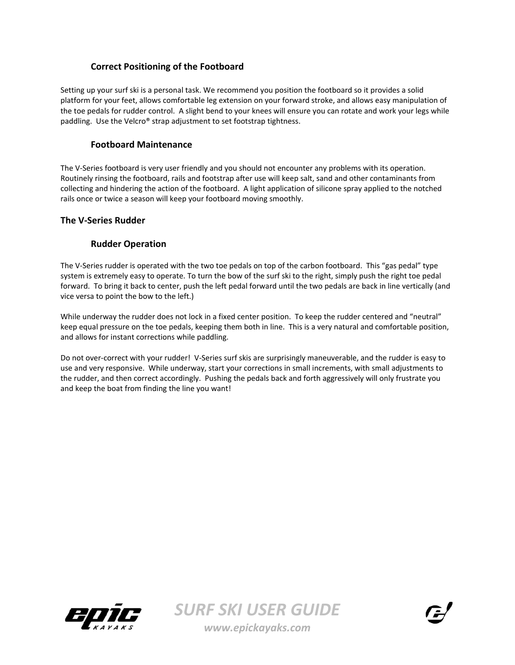# **Correct Positioning of the Footboard**

Setting up your surf ski is a personal task. We recommend you position the footboard so it provides a solid platform for your feet, allows comfortable leg extension on your forward stroke, and allows easy manipulation of the toe pedals for rudder control. A slight bend to your knees will ensure you can rotate and work your legs while paddling. Use the Velcro® strap adjustment to set footstrap tightness.

#### **Footboard Maintenance**

The V-Series footboard is very user friendly and you should not encounter any problems with its operation. Routinely rinsing the footboard, rails and footstrap after use will keep salt, sand and other contaminants from collecting and hindering the action of the footboard. A light application of silicone spray applied to the notched rails once or twice a season will keep your footboard moving smoothly.

#### **The V‐Series Rudder**

#### **Rudder Operation**

The V-Series rudder is operated with the two toe pedals on top of the carbon footboard. This "gas pedal" type system is extremely easy to operate. To turn the bow of the surf ski to the right, simply push the right toe pedal forward. To bring it back to center, push the left pedal forward until the two pedals are back in line vertically (and vice versa to point the bow to the left.)

While underway the rudder does not lock in a fixed center position. To keep the rudder centered and "neutral" keep equal pressure on the toe pedals, keeping them both in line. This is a very natural and comfortable position, and allows for instant corrections while paddling.

Do not over‐correct with your rudder! V‐Series surf skis are surprisingly maneuverable, and the rudder is easy to use and very responsive. While underway, start your corrections in small increments, with small adjustments to the rudder, and then correct accordingly. Pushing the pedals back and forth aggressively will only frustrate you and keep the boat from finding the line you want!



*SURF SKI USER GUIDE*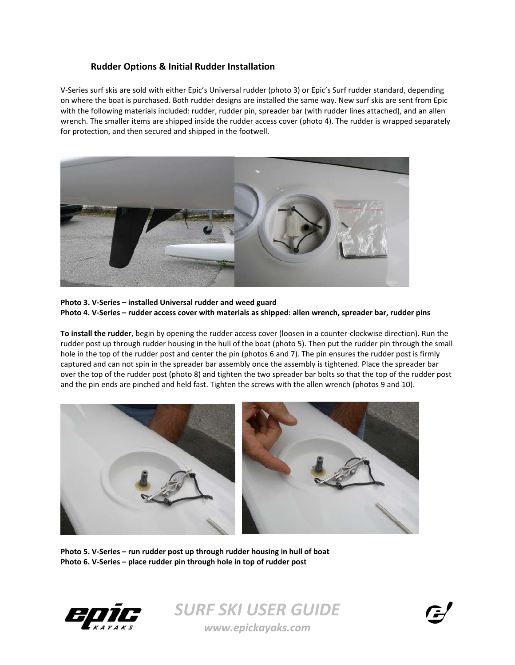#### **Rudder Options & Initial Rudder Installation**

V‐Series surf skis are sold with either Epic's Universal rudder (photo 3) or Epic's Surf rudder standard, depending on where the boat is purchased. Both rudder designs are installed the same way. New surf skis are sent from Epic with the following materials included: rudder, rudder pin, spreader bar (with rudder lines attached), and an allen wrench. The smaller items are shipped inside the rudder access cover (photo 4). The rudder is wrapped separately for protection, and then secured and shipped in the footwell.



**Photo 3. V‐Series – installed Universal rudder and weed guard** Photo 4. V-Series - rudder access cover with materials as shipped: allen wrench, spreader bar, rudder pins

**To install the rudder**, begin by opening the rudder access cover (loosen in a counter‐clockwise direction). Run the rudder post up through rudder housing in the hull of the boat (photo 5). Then put the rudder pin through the small hole in the top of the rudder post and center the pin (photos 6 and 7). The pin ensures the rudder post is firmly captured and can not spin in the spreader bar assembly once the assembly is tightened. Place the spreader bar over the top of the rudder post (photo 8) and tighten the two spreader bar bolts so that the top of the rudder post and the pin ends are pinched and held fast. Tighten the screws with the allen wrench (photos 9 and 10).



**Photo 5. V‐Series – run rudder post up through rudder housing in hull of boat Photo 6. V‐Series – place rudder pin through hole in top of rudder post**



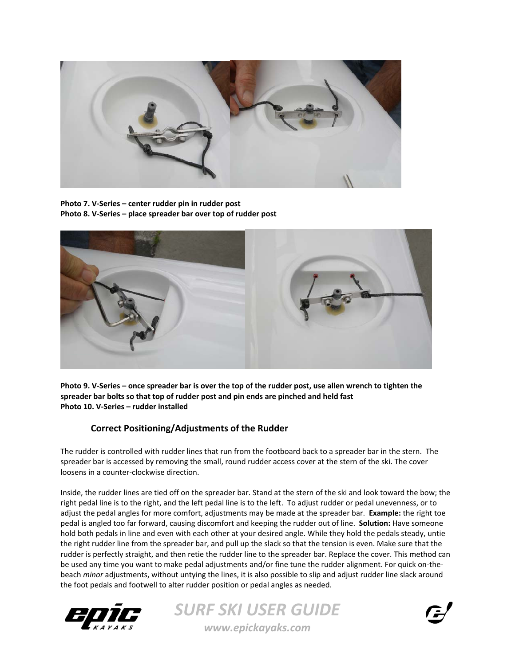

**Photo 7. V‐Series – center rudder pin in rudder post Photo 8. V‐Series – place spreader bar over top of rudder post**



Photo 9. V-Series – once spreader bar is over the top of the rudder post, use allen wrench to tighten the **spreader bar bolts so that top of rudder post and pin ends are pinched and held fast Photo 10. V‐Series – rudder installed** 

# **Correct Positioning/Adjustments of the Rudder**

The rudder is controlled with rudder lines that run from the footboard back to a spreader bar in the stern. The spreader bar is accessed by removing the small, round rudder access cover at the stern of the ski. The cover loosens in a counter‐clockwise direction.

Inside, the rudder lines are tied off on the spreader bar. Stand at the stern of the ski and look toward the bow; the right pedal line is to the right, and the left pedal line is to the left. To adjust rudder or pedal unevenness, or to adjust the pedal angles for more comfort, adjustments may be made at the spreader bar. **Example:** the right toe pedal is angled too far forward, causing discomfort and keeping the rudder out of line. **Solution:** Have someone hold both pedals in line and even with each other at your desired angle. While they hold the pedals steady, untie the right rudder line from the spreader bar, and pull up the slack so that the tension is even. Make sure that the rudder is perfectly straight, and then retie the rudder line to the spreader bar. Replace the cover. This method can be used any time you want to make pedal adjustments and/or fine tune the rudder alignment. For quick on-thebeach *minor* adjustments, without untying the lines, it is also possible to slip and adjust rudder line slack around the foot pedals and footwell to alter rudder position or pedal angles as needed.



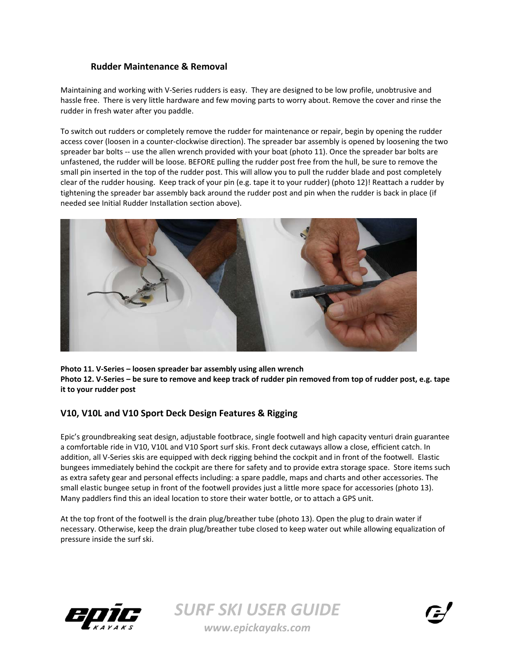#### **Rudder Maintenance & Removal**

Maintaining and working with V‐Series rudders is easy. They are designed to be low profile, unobtrusive and hassle free. There is very little hardware and few moving parts to worry about. Remove the cover and rinse the rudder in fresh water after you paddle.

To switch out rudders or completely remove the rudder for maintenance or repair, begin by opening the rudder access cover (loosen in a counter‐clockwise direction). The spreader bar assembly is opened by loosening the two spreader bar bolts -- use the allen wrench provided with your boat (photo 11). Once the spreader bar bolts are unfastened, the rudder will be loose. BEFORE pulling the rudder post free from the hull, be sure to remove the small pin inserted in the top of the rudder post. This will allow you to pull the rudder blade and post completely clear of the rudder housing. Keep track of your pin (e.g. tape it to your rudder) (photo 12)! Reattach a rudder by tightening the spreader bar assembly back around the rudder post and pin when the rudder is back in place (if needed see Initial Rudder Installation section above).



**Photo 11. V‐Series – loosen spreader bar assembly using allen wrench** Photo 12. V-Series - be sure to remove and keep track of rudder pin removed from top of rudder post, e.g. tape **it to your rudder post**

# **V10, V10L and V10 Sport Deck Design Features & Rigging**

Epic's groundbreaking seat design, adjustable footbrace, single footwell and high capacity venturi drain guarantee a comfortable ride in V10, V10L and V10 Sport surf skis. Front deck cutaways allow a close, efficient catch. In addition, all V‐Series skis are equipped with deck rigging behind the cockpit and in front of the footwell. Elastic bungees immediately behind the cockpit are there for safety and to provide extra storage space. Store items such as extra safety gear and personal effects including: a spare paddle, maps and charts and other accessories. The small elastic bungee setup in front of the footwell provides just a little more space for accessories (photo 13). Many paddlers find this an ideal location to store their water bottle, or to attach a GPS unit.

At the top front of the footwell is the drain plug/breather tube (photo 13). Open the plug to drain water if necessary. Otherwise, keep the drain plug/breather tube closed to keep water out while allowing equalization of pressure inside the surf ski.



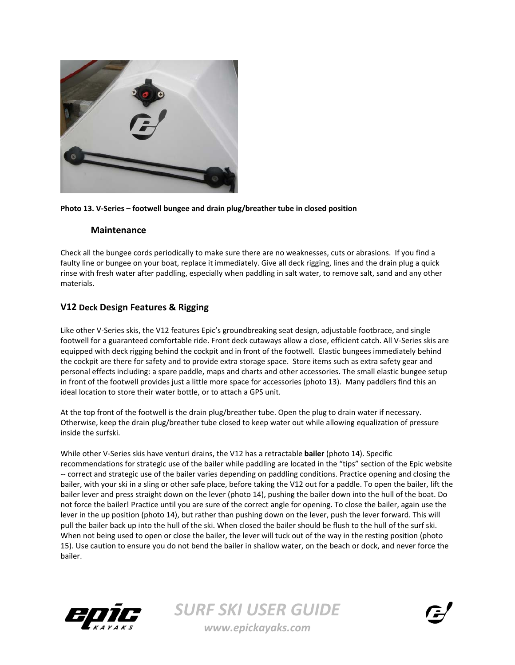

#### **Photo 13. V‐Series – footwell bungee and drain plug/breather tube in closed position**

#### **Maintenance**

Check all the bungee cords periodically to make sure there are no weaknesses, cuts or abrasions. If you find a faulty line or bungee on your boat, replace it immediately. Give all deck rigging, lines and the drain plug a quick rinse with fresh water after paddling, especially when paddling in salt water, to remove salt, sand and any other materials.

#### **V12 Deck Design Features & Rigging**

Like other V‐Series skis, the V12 features Epic's groundbreaking seat design, adjustable footbrace, and single footwell for a guaranteed comfortable ride. Front deck cutaways allow a close, efficient catch. All V‐Series skis are equipped with deck rigging behind the cockpit and in front of the footwell. Elastic bungees immediately behind the cockpit are there for safety and to provide extra storage space. Store items such as extra safety gear and personal effects including: a spare paddle, maps and charts and other accessories. The small elastic bungee setup in front of the footwell provides just a little more space for accessories (photo 13). Many paddlers find this an ideal location to store their water bottle, or to attach a GPS unit.

At the top front of the footwell is the drain plug/breather tube. Open the plug to drain water if necessary. Otherwise, keep the drain plug/breather tube closed to keep water out while allowing equalization of pressure inside the surfski.

While other V‐Series skis have venturi drains, the V12 has a retractable **bailer** (photo 14). Specific recommendations for strategic use of the bailer while paddling are located in the "tips" section of the Epic website ‐‐ correct and strategic use of the bailer varies depending on paddling conditions. Practice opening and closing the bailer, with your ski in a sling or other safe place, before taking the V12 out for a paddle. To open the bailer, lift the bailer lever and press straight down on the lever (photo 14), pushing the bailer down into the hull of the boat. Do not force the bailer! Practice until you are sure of the correct angle for opening. To close the bailer, again use the lever in the up position (photo 14), but rather than pushing down on the lever, push the lever forward. This will pull the bailer back up into the hull of the ski. When closed the bailer should be flush to the hull of the surf ski. When not being used to open or close the bailer, the lever will tuck out of the way in the resting position (photo 15). Use caution to ensure you do not bend the bailer in shallow water, on the beach or dock, and never force the bailer.



*SURF SKI USER GUIDE*

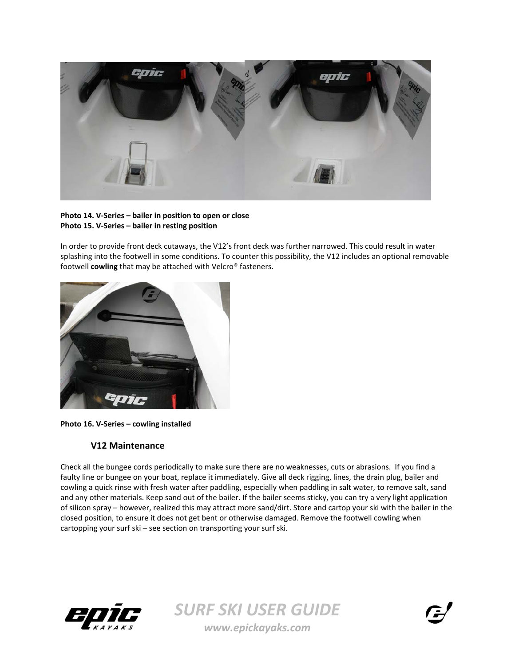

**Photo 14. V‐Series – bailer in position to open or close Photo 15. V‐Series – bailer in resting position**

In order to provide front deck cutaways, the V12's front deck was further narrowed. This could result in water splashing into the footwell in some conditions. To counter this possibility, the V12 includes an optional removable footwell **cowling** that may be attached with Velcro® fasteners.



**Photo 16. V‐Series – cowling installed**

# **V12 Maintenance**

Check all the bungee cords periodically to make sure there are no weaknesses, cuts or abrasions. If you find a faulty line or bungee on your boat, replace it immediately. Give all deck rigging, lines, the drain plug, bailer and cowling a quick rinse with fresh water after paddling, especially when paddling in salt water, to remove salt, sand and any other materials. Keep sand out of the bailer. If the bailer seems sticky, you can try a very light application of silicon spray – however, realized this may attract more sand/dirt. Store and cartop your ski with the bailer in the closed position, to ensure it does not get bent or otherwise damaged. Remove the footwell cowling when cartopping your surf ski – see section on transporting your surf ski.



*SURF SKI USER GUIDE*

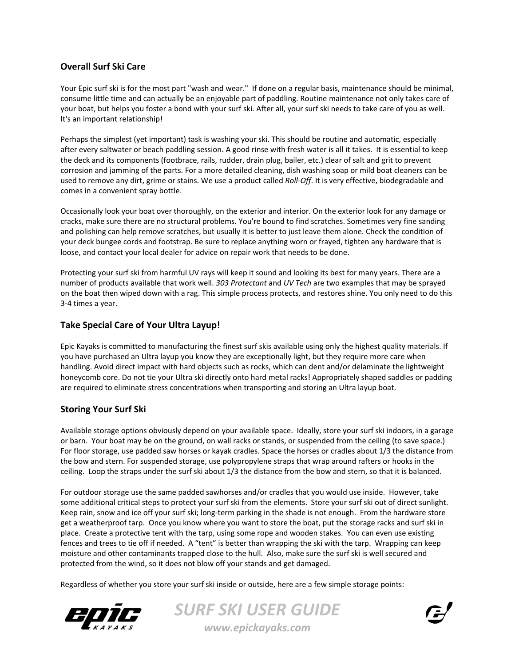#### **Overall Surf Ski Care**

Your Epic surf ski is for the most part "wash and wear." If done on a regular basis, maintenance should be minimal, consume little time and can actually be an enjoyable part of paddling. Routine maintenance not only takes care of your boat, but helps you foster a bond with your surf ski. After all, your surf ski needs to take care of you as well. It's an important relationship!

Perhaps the simplest (yet important) task is washing your ski. This should be routine and automatic, especially after every saltwater or beach paddling session. A good rinse with fresh water is all it takes. It is essential to keep the deck and its components (footbrace, rails, rudder, drain plug, bailer, etc.) clear of salt and grit to prevent corrosion and jamming of the parts. For a more detailed cleaning, dish washing soap or mild boat cleaners can be used to remove any dirt, grime or stains. We use a product called *Roll‐Off*. It is very effective, biodegradable and comes in a convenient spray bottle.

Occasionally look your boat over thoroughly, on the exterior and interior. On the exterior look for any damage or cracks, make sure there are no structural problems. You're bound to find scratches. Sometimes very fine sanding and polishing can help remove scratches, but usually it is better to just leave them alone. Check the condition of your deck bungee cords and footstrap. Be sure to replace anything worn or frayed, tighten any hardware that is loose, and contact your local dealer for advice on repair work that needs to be done.

Protecting your surf ski from harmful UV rays will keep it sound and looking its best for many years. There are a number of products available that work well. *303 Protectant* and *UV Tech* are two examples that may be sprayed on the boat then wiped down with a rag. This simple process protects, and restores shine. You only need to do this 3‐4 times a year.

#### **Take Special Care of Your Ultra Layup!**

Epic Kayaks is committed to manufacturing the finest surf skis available using only the highest quality materials. If you have purchased an Ultra layup you know they are exceptionally light, but they require more care when handling. Avoid direct impact with hard objects such as rocks, which can dent and/or delaminate the lightweight honeycomb core. Do not tie your Ultra ski directly onto hard metal racks! Appropriately shaped saddles or padding are required to eliminate stress concentrations when transporting and storing an Ultra layup boat.

# **Storing Your Surf Ski**

Available storage options obviously depend on your available space. Ideally, store your surf ski indoors, in a garage or barn. Your boat may be on the ground, on wall racks or stands, or suspended from the ceiling (to save space.) For floor storage, use padded saw horses or kayak cradles. Space the horses or cradles about 1/3 the distance from the bow and stern. For suspended storage, use polypropylene straps that wrap around rafters or hooks in the ceiling. Loop the straps under the surf ski about 1/3 the distance from the bow and stern, so that it is balanced.

For outdoor storage use the same padded sawhorses and/or cradles that you would use inside. However, take some additional critical steps to protect your surf ski from the elements. Store your surf ski out of direct sunlight. Keep rain, snow and ice off your surf ski; long‐term parking in the shade is not enough. From the hardware store get a weatherproof tarp. Once you know where you want to store the boat, put the storage racks and surf ski in place. Create a protective tent with the tarp, using some rope and wooden stakes. You can even use existing fences and trees to tie off if needed. A "tent" is better than wrapping the ski with the tarp. Wrapping can keep moisture and other contaminants trapped close to the hull. Also, make sure the surf ski is well secured and protected from the wind, so it does not blow off your stands and get damaged.

Regardless of whether you store your surf ski inside or outside, here are a few simple storage points:



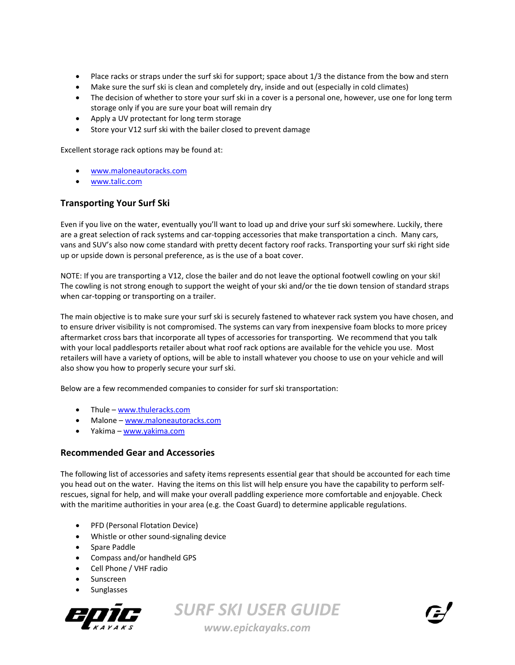- Place racks or straps under the surf ski for support; space about 1/3 the distance from the bow and stern
- Make sure the surf ski is clean and completely dry, inside and out (especially in cold climates)
- The decision of whether to store your surf ski in a cover is a personal one, however, use one for long term storage only if you are sure your boat will remain dry
- Apply a UV protectant for long term storage
- Store your V12 surf ski with the bailer closed to prevent damage

Excellent storage rack options may be found at:

- www.maloneautoracks.com
- www.talic.com

#### **Transporting Your Surf Ski**

Even if you live on the water, eventually you'll want to load up and drive your surf ski somewhere. Luckily, there are a great selection of rack systems and car-topping accessories that make transportation a cinch. Many cars, vans and SUV's also now come standard with pretty decent factory roof racks. Transporting your surf ski right side up or upside down is personal preference, as is the use of a boat cover.

NOTE: If you are transporting a V12, close the bailer and do not leave the optional footwell cowling on your ski! The cowling is not strong enough to support the weight of your ski and/or the tie down tension of standard straps when car-topping or transporting on a trailer.

The main objective is to make sure your surf ski is securely fastened to whatever rack system you have chosen, and to ensure driver visibility is not compromised. The systems can vary from inexpensive foam blocks to more pricey aftermarket cross bars that incorporate all types of accessories for transporting. We recommend that you talk with your local paddlesports retailer about what roof rack options are available for the vehicle you use. Most retailers will have a variety of options, will be able to install whatever you choose to use on your vehicle and will also show you how to properly secure your surf ski.

Below are a few recommended companies to consider for surf ski transportation:

- Thule www.thuleracks.com
- Malone www.maloneautoracks.com
- Yakima www.yakima.com

#### **Recommended Gear and Accessories**

The following list of accessories and safety items represents essential gear that should be accounted for each time you head out on the water. Having the items on this list will help ensure you have the capability to perform self‐ rescues, signal for help, and will make your overall paddling experience more comfortable and enjoyable. Check with the maritime authorities in your area (e.g. the Coast Guard) to determine applicable regulations.

- PFD (Personal Flotation Device)
- Whistle or other sound‐signaling device
- Spare Paddle
- Compass and/or handheld GPS
- Cell Phone / VHF radio
- Sunscreen
- Sunglasses